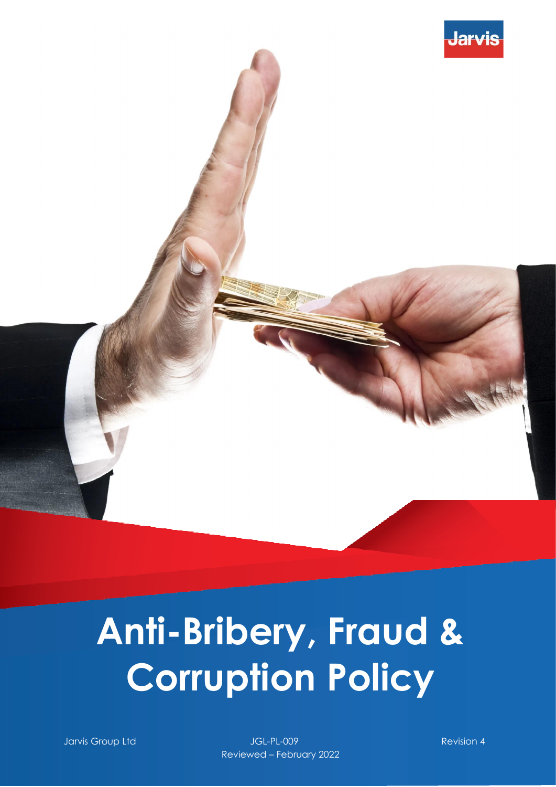



# **Anti-Bribery, Fraud & Corruption Policy**

Jarvis Group Ltd JGL-PL-009 Revision 4 Reviewed – February 2022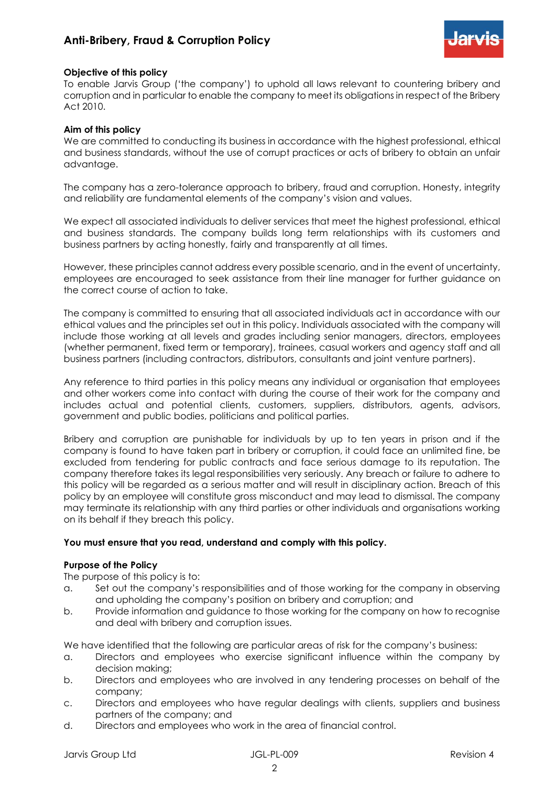# **Anti-Bribery, Fraud & Corruption Policy**



#### **Objective of this policy**

To enable Jarvis Group ('the company') to uphold all laws relevant to countering bribery and corruption and in particular to enable the company to meet its obligations in respect of the Bribery Act 2010.

# **Aim of this policy**

We are committed to conducting its business in accordance with the highest professional, ethical and business standards, without the use of corrupt practices or acts of bribery to obtain an unfair advantage.

The company has a zero-tolerance approach to bribery, fraud and corruption. Honesty, integrity and reliability are fundamental elements of the company's vision and values.

We expect all associated individuals to deliver services that meet the highest professional, ethical and business standards. The company builds long term relationships with its customers and business partners by acting honestly, fairly and transparently at all times.

However, these principles cannot address every possible scenario, and in the event of uncertainty, employees are encouraged to seek assistance from their line manager for further guidance on the correct course of action to take.

The company is committed to ensuring that all associated individuals act in accordance with our ethical values and the principles set out in this policy. Individuals associated with the company will include those working at all levels and grades including senior managers, directors, employees (whether permanent, fixed term or temporary), trainees, casual workers and agency staff and all business partners (including contractors, distributors, consultants and joint venture partners).

Any reference to third parties in this policy means any individual or organisation that employees and other workers come into contact with during the course of their work for the company and includes actual and potential clients, customers, suppliers, distributors, agents, advisors, government and public bodies, politicians and political parties.

Bribery and corruption are punishable for individuals by up to ten years in prison and if the company is found to have taken part in bribery or corruption, it could face an unlimited fine, be excluded from tendering for public contracts and face serious damage to its reputation. The company therefore takes its legal responsibilities very seriously. Any breach or failure to adhere to this policy will be regarded as a serious matter and will result in disciplinary action. Breach of this policy by an employee will constitute gross misconduct and may lead to dismissal. The company may terminate its relationship with any third parties or other individuals and organisations working on its behalf if they breach this policy.

## **You must ensure that you read, understand and comply with this policy.**

#### **Purpose of the Policy**

The purpose of this policy is to:

- a. Set out the company's responsibilities and of those working for the company in observing and upholding the company's position on bribery and corruption; and
- b. Provide information and guidance to those working for the company on how to recognise and deal with bribery and corruption issues.

We have identified that the following are particular areas of risk for the company's business:

- a. Directors and employees who exercise significant influence within the company by decision making;
- b. Directors and employees who are involved in any tendering processes on behalf of the company;
- c. Directors and employees who have regular dealings with clients, suppliers and business partners of the company; and
- d. Directors and employees who work in the area of financial control.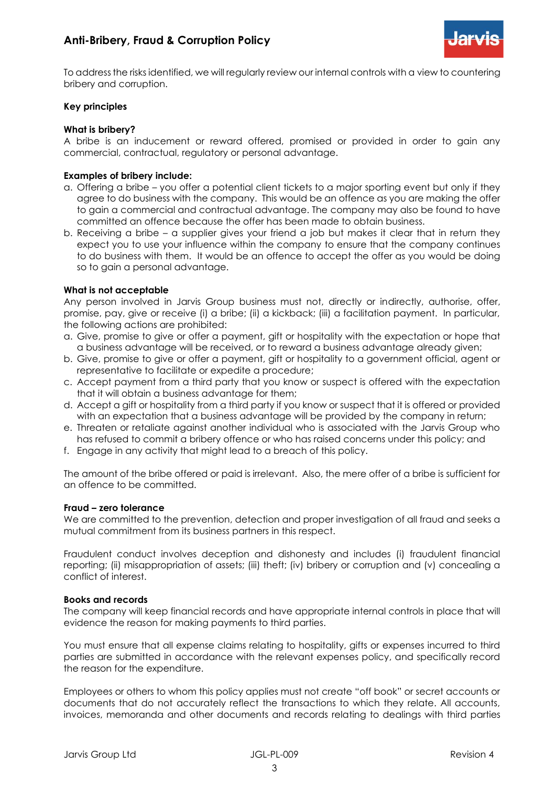

To address the risks identified, we will regularly review our internal controls with a view to countering bribery and corruption.

## **Key principles**

## **What is bribery?**

A bribe is an inducement or reward offered, promised or provided in order to gain any commercial, contractual, regulatory or personal advantage.

# **Examples of bribery include:**

- a. Offering a bribe you offer a potential client tickets to a major sporting event but only if they agree to do business with the company. This would be an offence as you are making the offer to gain a commercial and contractual advantage. The company may also be found to have committed an offence because the offer has been made to obtain business.
- b. Receiving a bribe a supplier gives your friend a job but makes it clear that in return they expect you to use your influence within the company to ensure that the company continues to do business with them. It would be an offence to accept the offer as you would be doing so to gain a personal advantage.

# **What is not acceptable**

Any person involved in Jarvis Group business must not, directly or indirectly, authorise, offer, promise, pay, give or receive (i) a bribe; (ii) a kickback; (iii) a facilitation payment. In particular, the following actions are prohibited:

- a. Give, promise to give or offer a payment, gift or hospitality with the expectation or hope that a business advantage will be received, or to reward a business advantage already given;
- b. Give, promise to give or offer a payment, gift or hospitality to a government official, agent or representative to facilitate or expedite a procedure;
- c. Accept payment from a third party that you know or suspect is offered with the expectation that it will obtain a business advantage for them;
- d. Accept a gift or hospitality from a third party if you know or suspect that it is offered or provided with an expectation that a business advantage will be provided by the company in return;
- e. Threaten or retaliate against another individual who is associated with the Jarvis Group who has refused to commit a bribery offence or who has raised concerns under this policy; and
- f. Engage in any activity that might lead to a breach of this policy.

The amount of the bribe offered or paid is irrelevant. Also, the mere offer of a bribe is sufficient for an offence to be committed.

## **Fraud – zero tolerance**

We are committed to the prevention, detection and proper investigation of all fraud and seeks a mutual commitment from its business partners in this respect.

Fraudulent conduct involves deception and dishonesty and includes (i) fraudulent financial reporting; (ii) misappropriation of assets; (iii) theft; (iv) bribery or corruption and (v) concealing a conflict of interest.

## **Books and records**

The company will keep financial records and have appropriate internal controls in place that will evidence the reason for making payments to third parties.

You must ensure that all expense claims relating to hospitality, gifts or expenses incurred to third parties are submitted in accordance with the relevant expenses policy, and specifically record the reason for the expenditure.

Employees or others to whom this policy applies must not create "off book" or secret accounts or documents that do not accurately reflect the transactions to which they relate. All accounts, invoices, memoranda and other documents and records relating to dealings with third parties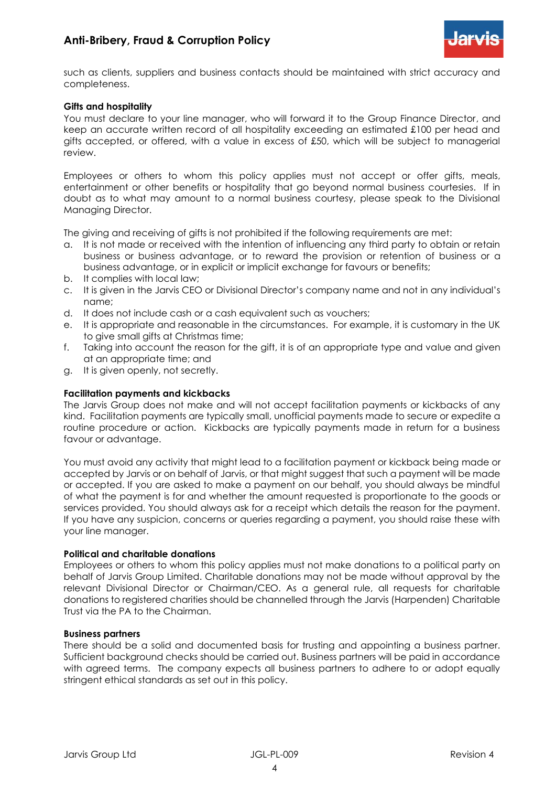

such as clients, suppliers and business contacts should be maintained with strict accuracy and completeness.

## **Gifts and hospitality**

You must declare to your line manager, who will forward it to the Group Finance Director, and keep an accurate written record of all hospitality exceeding an estimated £100 per head and gifts accepted, or offered, with a value in excess of £50, which will be subject to managerial review.

Employees or others to whom this policy applies must not accept or offer gifts, meals, entertainment or other benefits or hospitality that go beyond normal business courtesies. If in doubt as to what may amount to a normal business courtesy, please speak to the Divisional Managing Director.

The giving and receiving of gifts is not prohibited if the following requirements are met:

- a. It is not made or received with the intention of influencing any third party to obtain or retain business or business advantage, or to reward the provision or retention of business or a business advantage, or in explicit or implicit exchange for favours or benefits;
- b. It complies with local law;
- c. It is given in the Jarvis CEO or Divisional Director's company name and not in any individual's name;
- d. It does not include cash or a cash equivalent such as vouchers;
- e. It is appropriate and reasonable in the circumstances. For example, it is customary in the UK to give small gifts at Christmas time;
- f. Taking into account the reason for the gift, it is of an appropriate type and value and given at an appropriate time; and
- g. It is given openly, not secretly.

#### **Facilitation payments and kickbacks**

The Jarvis Group does not make and will not accept facilitation payments or kickbacks of any kind. Facilitation payments are typically small, unofficial payments made to secure or expedite a routine procedure or action. Kickbacks are typically payments made in return for a business favour or advantage.

You must avoid any activity that might lead to a facilitation payment or kickback being made or accepted by Jarvis or on behalf of Jarvis, or that might suggest that such a payment will be made or accepted. If you are asked to make a payment on our behalf, you should always be mindful of what the payment is for and whether the amount requested is proportionate to the goods or services provided. You should always ask for a receipt which details the reason for the payment. If you have any suspicion, concerns or queries regarding a payment, you should raise these with your line manager.

#### **Political and charitable donations**

Employees or others to whom this policy applies must not make donations to a political party on behalf of Jarvis Group Limited. Charitable donations may not be made without approval by the relevant Divisional Director or Chairman/CEO. As a general rule, all requests for charitable donations to registered charities should be channelled through the Jarvis (Harpenden) Charitable Trust via the PA to the Chairman.

#### **Business partners**

There should be a solid and documented basis for trusting and appointing a business partner. Sufficient background checks should be carried out. Business partners will be paid in accordance with agreed terms. The company expects all business partners to adhere to or adopt equally stringent ethical standards as set out in this policy.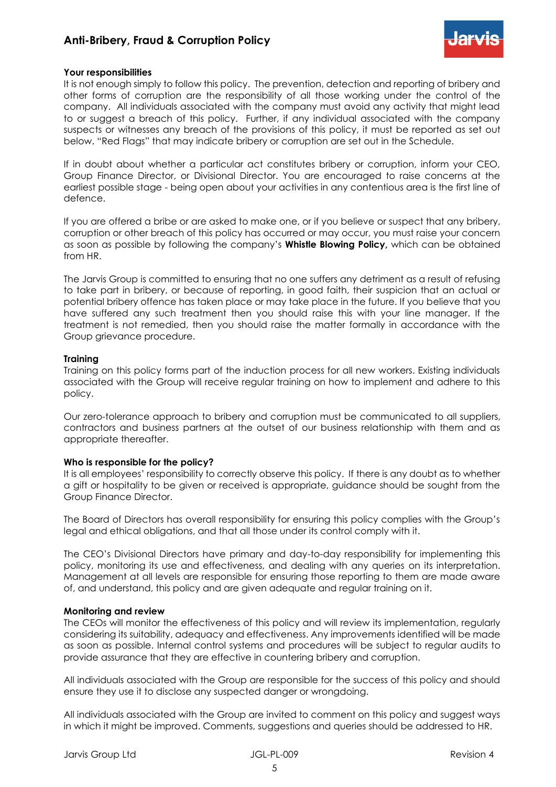# **Anti-Bribery, Fraud & Corruption Policy**



## **Your responsibilities**

It is not enough simply to follow this policy. The prevention, detection and reporting of bribery and other forms of corruption are the responsibility of all those working under the control of the company. All individuals associated with the company must avoid any activity that might lead to or suggest a breach of this policy. Further, if any individual associated with the company suspects or witnesses any breach of the provisions of this policy, it must be reported as set out below. "Red Flags" that may indicate bribery or corruption are set out in the Schedule.

If in doubt about whether a particular act constitutes bribery or corruption, inform your CEO, Group Finance Director, or Divisional Director. You are encouraged to raise concerns at the earliest possible stage - being open about your activities in any contentious area is the first line of defence.

If you are offered a bribe or are asked to make one, or if you believe or suspect that any bribery, corruption or other breach of this policy has occurred or may occur, you must raise your concern as soon as possible by following the company's **Whistle Blowing Policy,** which can be obtained from HR.

The Jarvis Group is committed to ensuring that no one suffers any detriment as a result of refusing to take part in bribery, or because of reporting, in good faith, their suspicion that an actual or potential bribery offence has taken place or may take place in the future. If you believe that you have suffered any such treatment then you should raise this with your line manager. If the treatment is not remedied, then you should raise the matter formally in accordance with the Group grievance procedure.

#### **Training**

Training on this policy forms part of the induction process for all new workers. Existing individuals associated with the Group will receive regular training on how to implement and adhere to this policy.

Our zero-tolerance approach to bribery and corruption must be communicated to all suppliers, contractors and business partners at the outset of our business relationship with them and as appropriate thereafter.

#### **Who is responsible for the policy?**

It is all employees' responsibility to correctly observe this policy. If there is any doubt as to whether a gift or hospitality to be given or received is appropriate, guidance should be sought from the Group Finance Director.

The Board of Directors has overall responsibility for ensuring this policy complies with the Group's legal and ethical obligations, and that all those under its control comply with it.

The CEO's Divisional Directors have primary and day-to-day responsibility for implementing this policy, monitoring its use and effectiveness, and dealing with any queries on its interpretation. Management at all levels are responsible for ensuring those reporting to them are made aware of, and understand, this policy and are given adequate and regular training on it.

#### **Monitoring and review**

The CEOs will monitor the effectiveness of this policy and will review its implementation, regularly considering its suitability, adequacy and effectiveness. Any improvements identified will be made as soon as possible. Internal control systems and procedures will be subject to regular audits to provide assurance that they are effective in countering bribery and corruption.

All individuals associated with the Group are responsible for the success of this policy and should ensure they use it to disclose any suspected danger or wrongdoing.

All individuals associated with the Group are invited to comment on this policy and suggest ways in which it might be improved. Comments, suggestions and queries should be addressed to HR.